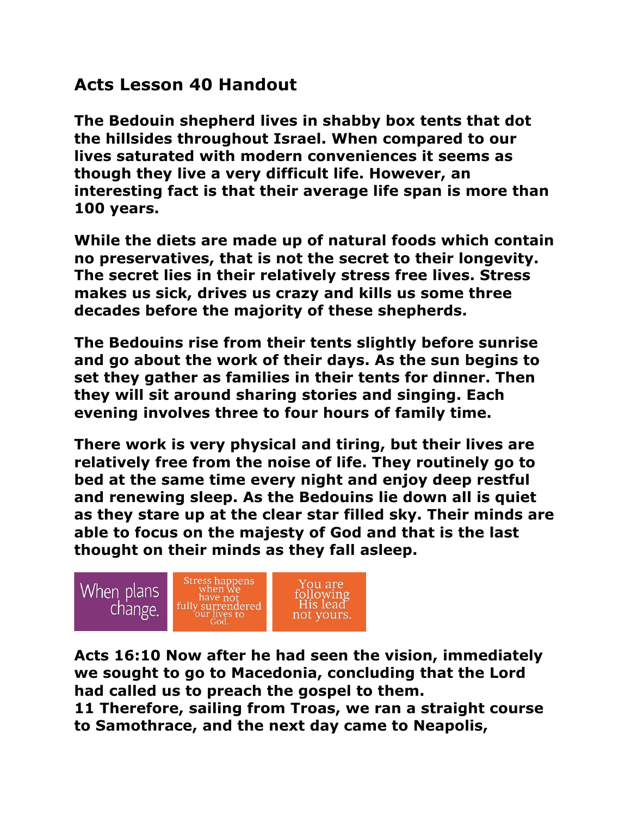## **Acts Lesson 40 Handout**

**The Bedouin shepherd lives in shabby box tents that dot the hillsides throughout Israel. When compared to our lives saturated with modern conveniences it seems as though they live a very difficult life. However, an interesting fact is that their average life span is more than 100 years.**

**While the diets are made up of natural foods which contain no preservatives, that is not the secret to their longevity. The secret lies in their relatively stress free lives. Stress makes us sick, drives us crazy and kills us some three decades before the majority of these shepherds.**

**The Bedouins rise from their tents slightly before sunrise and go about the work of their days. As the sun begins to set they gather as families in their tents for dinner. Then they will sit around sharing stories and singing. Each evening involves three to four hours of family time.**

**There work is very physical and tiring, but their lives are relatively free from the noise of life. They routinely go to bed at the same time every night and enjoy deep restful and renewing sleep. As the Bedouins lie down all is quiet as they stare up at the clear star filled sky. Their minds are able to focus on the majesty of God and that is the last thought on their minds as they fall asleep.**



**Acts 16:10 Now after he had seen the vision, immediately we sought to go to Macedonia, concluding that the Lord had called us to preach the gospel to them.**

**11 Therefore, sailing from Troas, we ran a straight course to Samothrace, and the next day came to Neapolis,**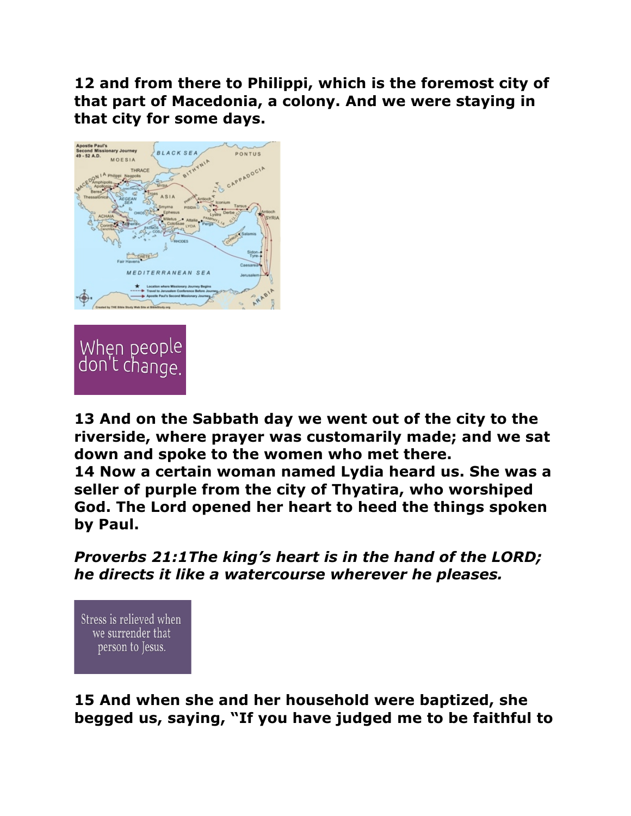**12 and from there to Philippi, which is the foremost city of that part of Macedonia, a colony. And we were staying in that city for some days.** 





**13 And on the Sabbath day we went out of the city to the riverside, where prayer was customarily made; and we sat down and spoke to the women who met there. 14 Now a certain woman named Lydia heard us. She was a seller of purple from the city of Thyatira, who worshiped God. The Lord opened her heart to heed the things spoken** 

**by Paul.**

*Proverbs 21:1The king's heart is in the hand of the LORD; he directs it like a watercourse wherever he pleases.* 

Stress is relieved when we surrender that person to Jesus.

**15 And when she and her household were baptized, she begged us, saying, "If you have judged me to be faithful to**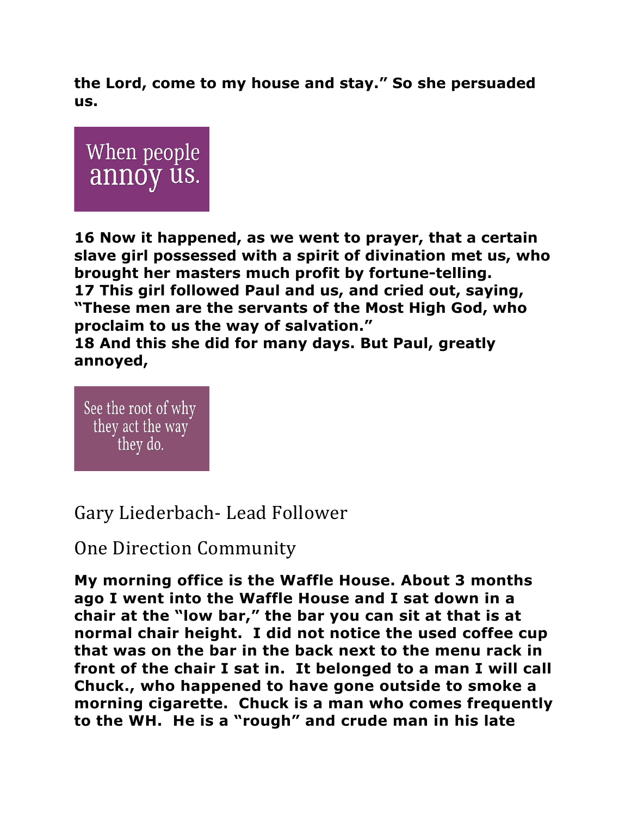**the Lord, come to my house and stay." So she persuaded us.** 



**16 Now it happened, as we went to prayer, that a certain slave girl possessed with a spirit of divination met us, who brought her masters much profit by fortune-telling. 17 This girl followed Paul and us, and cried out, saying, "These men are the servants of the Most High God, who proclaim to us the way of salvation." 18 And this she did for many days. But Paul, greatly annoyed,** 

See the root of why they act the way they do.

## Gary Liederbach- Lead Follower

## **One Direction Community**

**My morning office is the Waffle House. About 3 months ago I went into the Waffle House and I sat down in a chair at the "low bar," the bar you can sit at that is at normal chair height. I did not notice the used coffee cup that was on the bar in the back next to the menu rack in front of the chair I sat in. It belonged to a man I will call Chuck., who happened to have gone outside to smoke a morning cigarette. Chuck is a man who comes frequently to the WH. He is a "rough" and crude man in his late**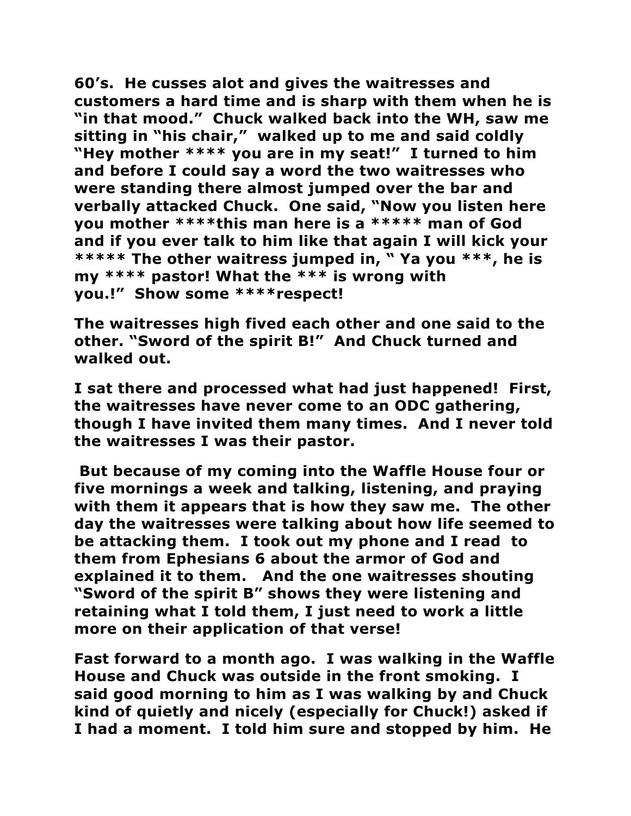**60's. He cusses alot and gives the waitresses and customers a hard time and is sharp with them when he is "in that mood." Chuck walked back into the WH, saw me sitting in "his chair," walked up to me and said coldly "Hey mother \*\*\*\* you are in my seat!" I turned to him and before I could say a word the two waitresses who were standing there almost jumped over the bar and verbally attacked Chuck. One said, "Now you listen here you mother \*\*\*\*this man here is a \*\*\*\*\* man of God and if you ever talk to him like that again I will kick your \*\*\*\*\* The other waitress jumped in, " Ya you \*\*\*, he is my \*\*\*\* pastor! What the \*\*\* is wrong with you.!" Show some \*\*\*\*respect!**

**The waitresses high fived each other and one said to the other. "Sword of the spirit B!" And Chuck turned and walked out.**

**I sat there and processed what had just happened! First, the waitresses have never come to an ODC gathering, though I have invited them many times. And I never told the waitresses I was their pastor.**

**But because of my coming into the Waffle House four or five mornings a week and talking, listening, and praying with them it appears that is how they saw me. The other day the waitresses were talking about how life seemed to be attacking them. I took out my phone and I read to them from Ephesians 6 about the armor of God and explained it to them. And the one waitresses shouting "Sword of the spirit B" shows they were listening and retaining what I told them, I just need to work a little more on their application of that verse!**

**Fast forward to a month ago. I was walking in the Waffle House and Chuck was outside in the front smoking. I said good morning to him as I was walking by and Chuck kind of quietly and nicely (especially for Chuck!) asked if I had a moment. I told him sure and stopped by him. He**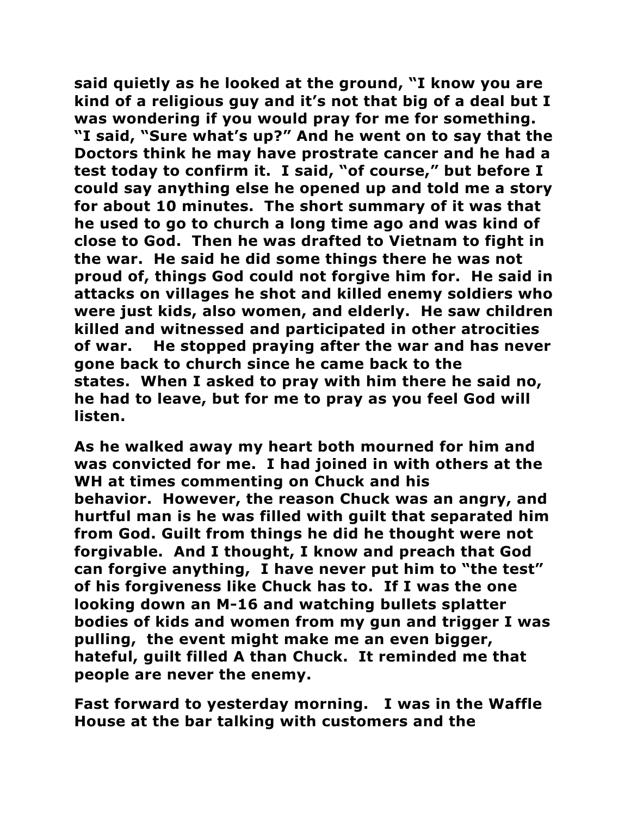**said quietly as he looked at the ground, "I know you are kind of a religious guy and it's not that big of a deal but I was wondering if you would pray for me for something. "I said, "Sure what's up?" And he went on to say that the Doctors think he may have prostrate cancer and he had a test today to confirm it. I said, "of course," but before I could say anything else he opened up and told me a story for about 10 minutes. The short summary of it was that he used to go to church a long time ago and was kind of close to God. Then he was drafted to Vietnam to fight in the war. He said he did some things there he was not proud of, things God could not forgive him for. He said in attacks on villages he shot and killed enemy soldiers who were just kids, also women, and elderly. He saw children killed and witnessed and participated in other atrocities of war. He stopped praying after the war and has never gone back to church since he came back to the states. When I asked to pray with him there he said no, he had to leave, but for me to pray as you feel God will listen.**

**As he walked away my heart both mourned for him and was convicted for me. I had joined in with others at the WH at times commenting on Chuck and his behavior. However, the reason Chuck was an angry, and hurtful man is he was filled with guilt that separated him from God. Guilt from things he did he thought were not forgivable. And I thought, I know and preach that God can forgive anything, I have never put him to "the test" of his forgiveness like Chuck has to. If I was the one looking down an M-16 and watching bullets splatter bodies of kids and women from my gun and trigger I was pulling, the event might make me an even bigger, hateful, guilt filled A than Chuck. It reminded me that people are never the enemy.**

**Fast forward to yesterday morning. I was in the Waffle House at the bar talking with customers and the**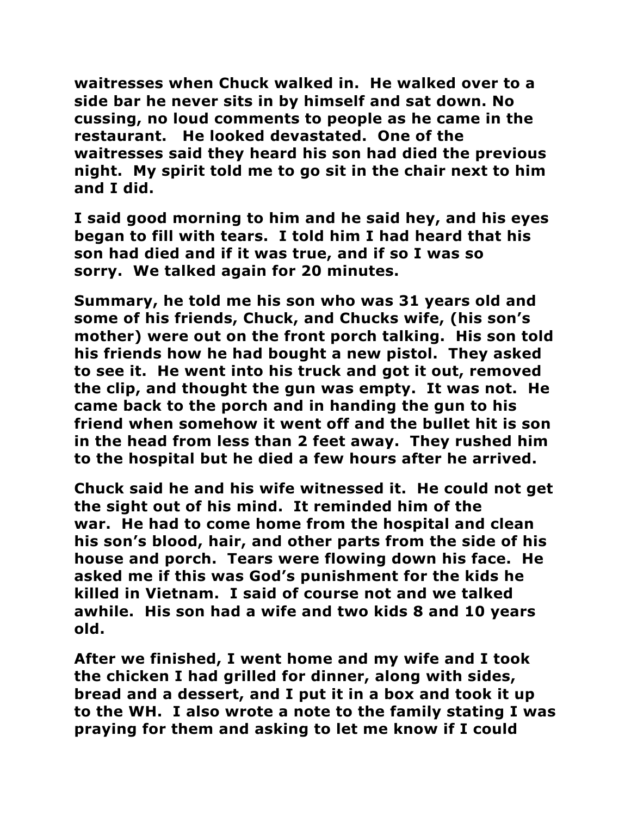**waitresses when Chuck walked in. He walked over to a side bar he never sits in by himself and sat down. No cussing, no loud comments to people as he came in the restaurant. He looked devastated. One of the waitresses said they heard his son had died the previous night. My spirit told me to go sit in the chair next to him and I did.**

**I said good morning to him and he said hey, and his eyes began to fill with tears. I told him I had heard that his son had died and if it was true, and if so I was so sorry. We talked again for 20 minutes.** 

**Summary, he told me his son who was 31 years old and some of his friends, Chuck, and Chucks wife, (his son's mother) were out on the front porch talking. His son told his friends how he had bought a new pistol. They asked to see it. He went into his truck and got it out, removed the clip, and thought the gun was empty. It was not. He came back to the porch and in handing the gun to his friend when somehow it went off and the bullet hit is son in the head from less than 2 feet away. They rushed him to the hospital but he died a few hours after he arrived.**

**Chuck said he and his wife witnessed it. He could not get the sight out of his mind. It reminded him of the war. He had to come home from the hospital and clean his son's blood, hair, and other parts from the side of his house and porch. Tears were flowing down his face. He asked me if this was God's punishment for the kids he killed in Vietnam. I said of course not and we talked awhile. His son had a wife and two kids 8 and 10 years old.**

**After we finished, I went home and my wife and I took the chicken I had grilled for dinner, along with sides, bread and a dessert, and I put it in a box and took it up to the WH. I also wrote a note to the family stating I was praying for them and asking to let me know if I could**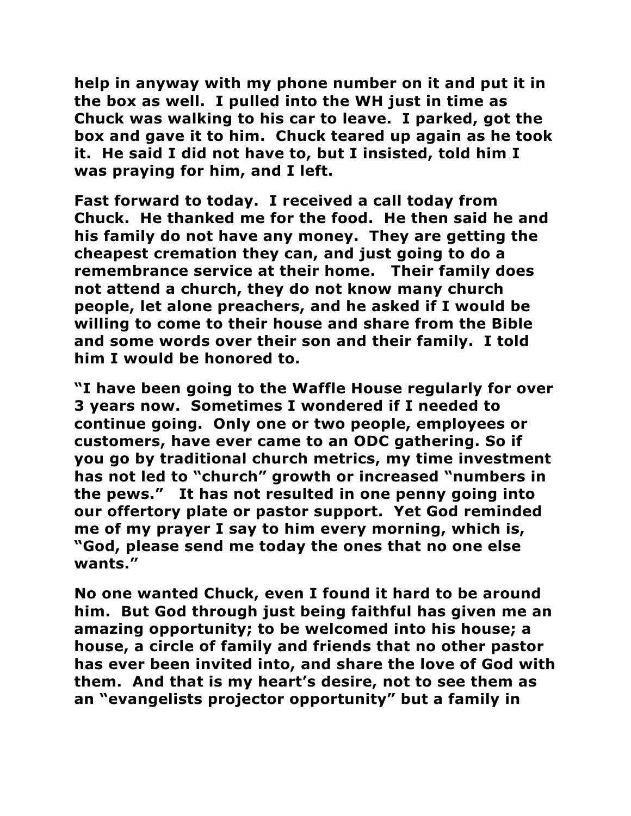**help in anyway with my phone number on it and put it in the box as well. I pulled into the WH just in time as Chuck was walking to his car to leave. I parked, got the box and gave it to him. Chuck teared up again as he took it. He said I did not have to, but I insisted, told him I was praying for him, and I left.**

**Fast forward to today. I received a call today from Chuck. He thanked me for the food. He then said he and his family do not have any money. They are getting the cheapest cremation they can, and just going to do a remembrance service at their home. Their family does not attend a church, they do not know many church people, let alone preachers, and he asked if I would be willing to come to their house and share from the Bible and some words over their son and their family. I told him I would be honored to.**

**"I have been going to the Waffle House regularly for over 3 years now. Sometimes I wondered if I needed to continue going. Only one or two people, employees or customers, have ever came to an ODC gathering. So if you go by traditional church metrics, my time investment has not led to "church" growth or increased "numbers in the pews." It has not resulted in one penny going into our offertory plate or pastor support. Yet God reminded me of my prayer I say to him every morning, which is, "God, please send me today the ones that no one else wants."**

**No one wanted Chuck, even I found it hard to be around him. But God through just being faithful has given me an amazing opportunity; to be welcomed into his house; a house, a circle of family and friends that no other pastor has ever been invited into, and share the love of God with them. And that is my heart's desire, not to see them as an "evangelists projector opportunity" but a family in**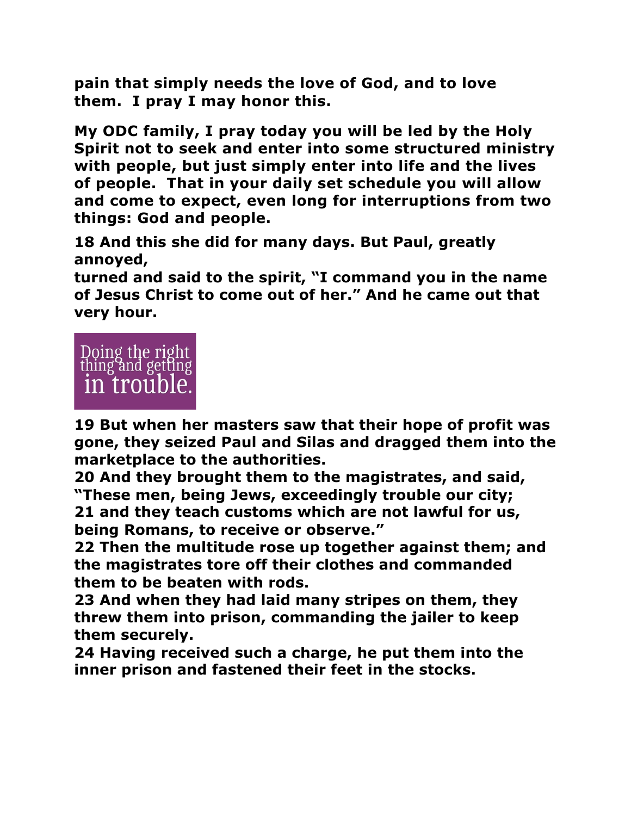**pain that simply needs the love of God, and to love them. I pray I may honor this.**

**My ODC family, I pray today you will be led by the Holy Spirit not to seek and enter into some structured ministry with people, but just simply enter into life and the lives of people. That in your daily set schedule you will allow and come to expect, even long for interruptions from two things: God and people.**

**18 And this she did for many days. But Paul, greatly annoyed,** 

**turned and said to the spirit, "I command you in the name of Jesus Christ to come out of her." And he came out that very hour.**



**19 But when her masters saw that their hope of profit was gone, they seized Paul and Silas and dragged them into the marketplace to the authorities.** 

**20 And they brought them to the magistrates, and said, "These men, being Jews, exceedingly trouble our city; 21 and they teach customs which are not lawful for us,** 

**being Romans, to receive or observe."** 

**22 Then the multitude rose up together against them; and the magistrates tore off their clothes and commanded them to be beaten with rods.** 

**23 And when they had laid many stripes on them, they threw them into prison, commanding the jailer to keep them securely.** 

**24 Having received such a charge, he put them into the inner prison and fastened their feet in the stocks.**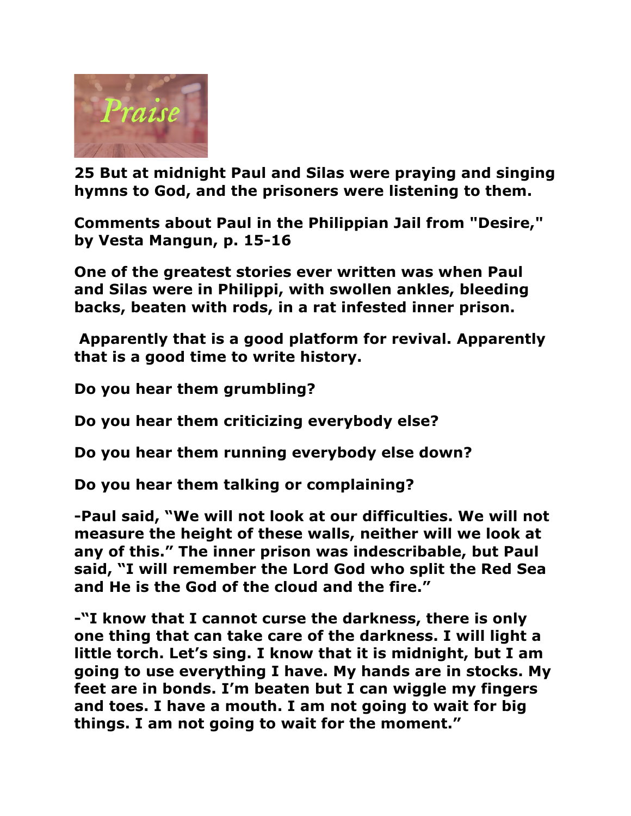

**25 But at midnight Paul and Silas were praying and singing hymns to God, and the prisoners were listening to them.** 

**Comments about Paul in the Philippian Jail from "Desire," by Vesta Mangun, p. 15-16**

**One of the greatest stories ever written was when Paul and Silas were in Philippi, with swollen ankles, bleeding backs, beaten with rods, in a rat infested inner prison.**

**Apparently that is a good platform for revival. Apparently that is a good time to write history.**

**Do you hear them grumbling?**

**Do you hear them criticizing everybody else?**

**Do you hear them running everybody else down?**

**Do you hear them talking or complaining?**

**-Paul said, "We will not look at our difficulties. We will not measure the height of these walls, neither will we look at any of this." The inner prison was indescribable, but Paul said, "I will remember the Lord God who split the Red Sea and He is the God of the cloud and the fire."**

**-"I know that I cannot curse the darkness, there is only one thing that can take care of the darkness. I will light a little torch. Let's sing. I know that it is midnight, but I am going to use everything I have. My hands are in stocks. My feet are in bonds. I'm beaten but I can wiggle my fingers and toes. I have a mouth. I am not going to wait for big things. I am not going to wait for the moment."**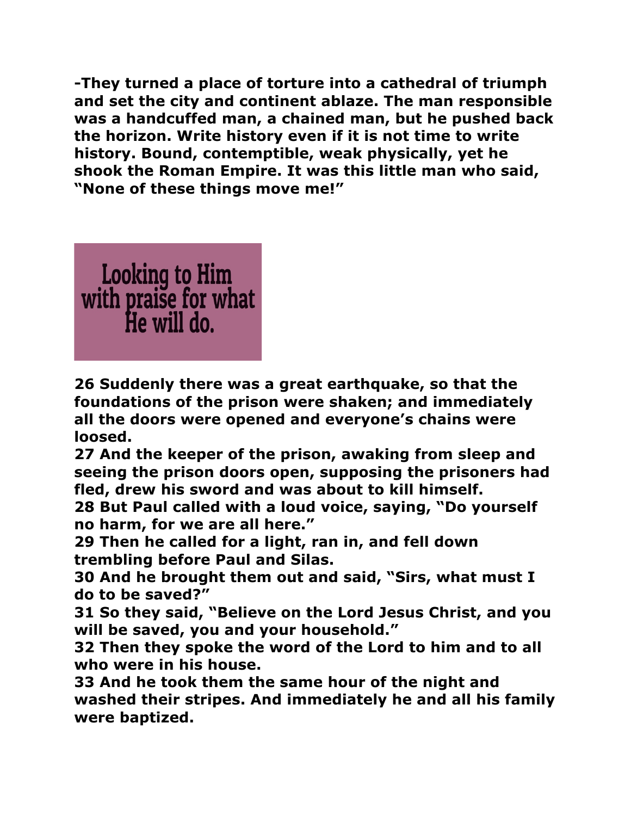**-They turned a place of torture into a cathedral of triumph and set the city and continent ablaze. The man responsible was a handcuffed man, a chained man, but he pushed back the horizon. Write history even if it is not time to write history. Bound, contemptible, weak physically, yet he shook the Roman Empire. It was this little man who said, "None of these things move me!"**



**26 Suddenly there was a great earthquake, so that the foundations of the prison were shaken; and immediately all the doors were opened and everyone's chains were loosed.** 

**27 And the keeper of the prison, awaking from sleep and seeing the prison doors open, supposing the prisoners had fled, drew his sword and was about to kill himself.** 

**28 But Paul called with a loud voice, saying, "Do yourself no harm, for we are all here."** 

**29 Then he called for a light, ran in, and fell down trembling before Paul and Silas.** 

**30 And he brought them out and said, "Sirs, what must I do to be saved?"** 

**31 So they said, "Believe on the Lord Jesus Christ, and you will be saved, you and your household."** 

**32 Then they spoke the word of the Lord to him and to all who were in his house.** 

**33 And he took them the same hour of the night and washed their stripes. And immediately he and all his family were baptized.**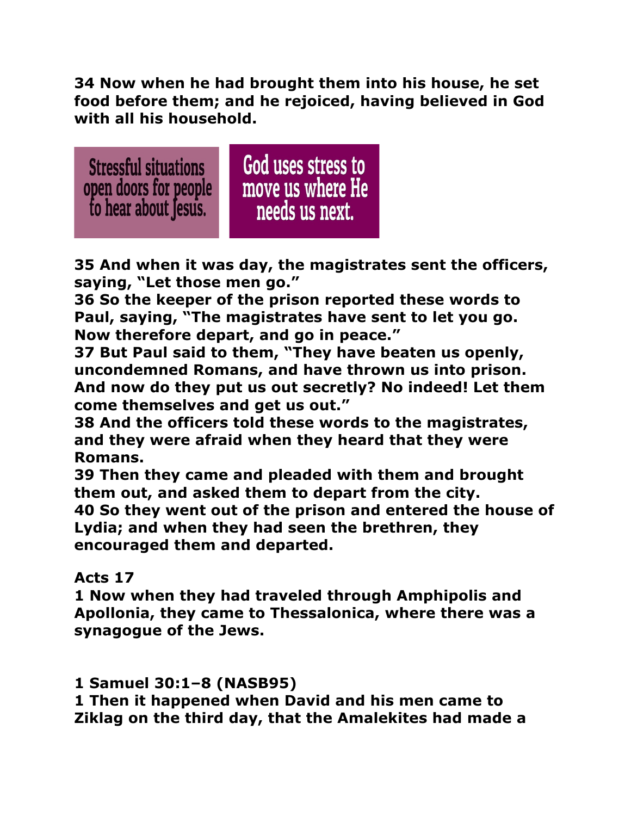**34 Now when he had brought them into his house, he set food before them; and he rejoiced, having believed in God with all his household.** 



**35 And when it was day, the magistrates sent the officers, saying, "Let those men go."** 

**36 So the keeper of the prison reported these words to Paul, saying, "The magistrates have sent to let you go. Now therefore depart, and go in peace."** 

**37 But Paul said to them, "They have beaten us openly, uncondemned Romans, and have thrown us into prison. And now do they put us out secretly? No indeed! Let them come themselves and get us out."** 

**38 And the officers told these words to the magistrates, and they were afraid when they heard that they were Romans.** 

**39 Then they came and pleaded with them and brought them out, and asked them to depart from the city. 40 So they went out of the prison and entered the house of Lydia; and when they had seen the brethren, they encouraged them and departed.** 

## **Acts 17**

**1 Now when they had traveled through Amphipolis and Apollonia, they came to Thessalonica, where there was a synagogue of the Jews.** 

**1 Samuel 30:1–8 (NASB95)**

**1 Then it happened when David and his men came to Ziklag on the third day, that the Amalekites had made a**